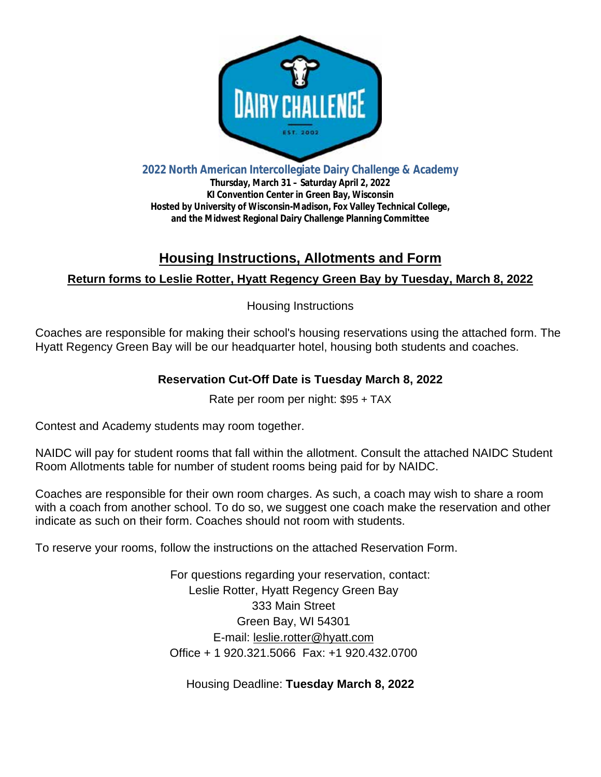

**2022 North American Intercollegiate Dairy Challenge & Academy**

**Thursday, March 31 – Saturday April 2, 2022 KI Convention Center in Green Bay, Wisconsin Hosted by University of Wisconsin-Madison, Fox Valley Technical College, and the Midwest Regional Dairy Challenge Planning Committee**

# **Housing Instructions, Allotments and Form Return forms to Leslie Rotter, Hyatt Regency Green Bay by Tuesday, March 8, 2022**

Housing Instructions

Coaches are responsible for making their school's housing reservations using the attached form. The Hyatt Regency Green Bay will be our headquarter hotel, housing both students and coaches.

## **Reservation Cut-Off Date is Tuesday March 8, 2022**

Rate per room per night: \$95 + TAX

Contest and Academy students may room together.

NAIDC will pay for student rooms that fall within the allotment. Consult the attached NAIDC Student Room Allotments table for number of student rooms being paid for by NAIDC.

Coaches are responsible for their own room charges. As such, a coach may wish to share a room with a coach from another school. To do so, we suggest one coach make the reservation and other indicate as such on their form. Coaches should not room with students.

To reserve your rooms, follow the instructions on the attached Reservation Form.

For questions regarding your reservation, contact: Leslie Rotter, Hyatt Regency Green Bay 333 Main Street Green Bay, WI 54301 E-mail: leslie.rotter@hyatt.com Office + 1 920.321.5066 Fax: +1 920.432.0700

Housing Deadline: **Tuesday March 8, 2022**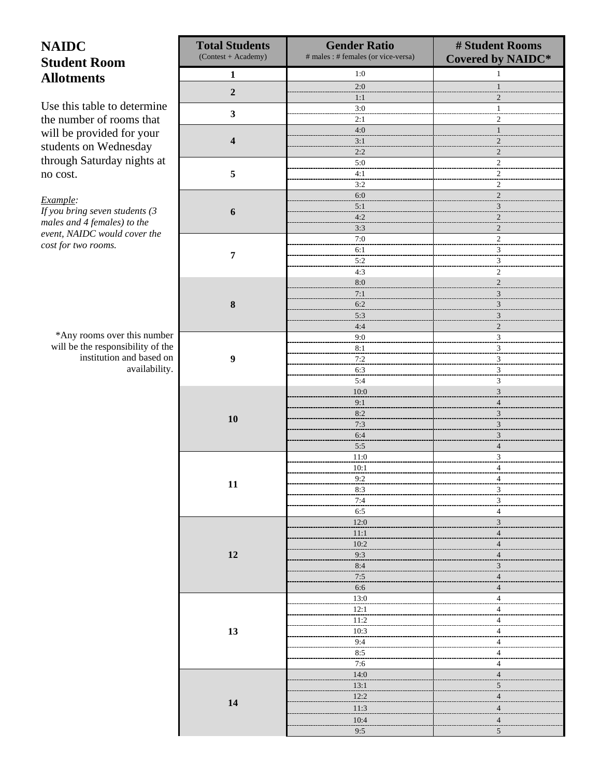## **NAIDC Student Room Allotments**

Use this table to determine the number of rooms that will be provided for your students on Wednesday through Saturday nights at no cost.

*Example:*

*If you bring seven students (3 males and 4 females) to the event, NAIDC would cover the cost for two rooms.*

\*Any rooms over this number will be the responsibility of the institution and based on availability.

| <b>Total Students</b><br>(Contest + Academy) | <b>Gender Ratio</b><br># males : # females (or vice-versa) | # Student Rooms<br><b>Covered by NAIDC*</b> |  |  |  |
|----------------------------------------------|------------------------------------------------------------|---------------------------------------------|--|--|--|
| $\mathbf 1$                                  | $1:0$                                                      | $\mathbf{1}$                                |  |  |  |
| $\mathbf 2$                                  | 2:0                                                        | $\mathbf{1}$                                |  |  |  |
|                                              | 1:1                                                        | 2                                           |  |  |  |
| $\mathbf{3}$                                 | 3:0                                                        | $\mathbf{1}$                                |  |  |  |
|                                              | 2:1<br>4:0                                                 | 2<br>$\mathbf{1}$                           |  |  |  |
| $\overline{\mathbf{4}}$                      | 3:1                                                        | $\mathbf{2}$                                |  |  |  |
|                                              | 2:2                                                        | $\mathbf{2}$                                |  |  |  |
|                                              | 5:0                                                        | $\overline{2}$                              |  |  |  |
| 5                                            | 4:1<br>3:2                                                 | $\overline{c}$                              |  |  |  |
|                                              | 6:0                                                        | 2<br>$\overline{\mathbf{c}}$                |  |  |  |
|                                              | 5:1                                                        | $\ensuremath{\mathfrak{Z}}$                 |  |  |  |
| $\boldsymbol{6}$                             | 4:2                                                        | $\overline{c}$                              |  |  |  |
|                                              | 3:3                                                        | $\mathbf{2}$                                |  |  |  |
|                                              | 7:0<br>6:1                                                 | $\overline{2}$                              |  |  |  |
| $\overline{7}$                               | 5:2                                                        | 3<br>3                                      |  |  |  |
|                                              | 4:3                                                        | 2                                           |  |  |  |
|                                              | $8:0$                                                      | $\sqrt{2}$                                  |  |  |  |
|                                              | 7:1                                                        | $\ensuremath{\mathfrak{Z}}$                 |  |  |  |
| $\bf 8$                                      | 6:2<br>5:3                                                 | $\overline{\mathbf{3}}$<br>$\mathfrak{Z}$   |  |  |  |
|                                              | 4:4                                                        | $\overline{c}$                              |  |  |  |
|                                              | 9:0                                                        | $\overline{\mathbf{3}}$                     |  |  |  |
|                                              | 8:1                                                        | 3                                           |  |  |  |
| $\boldsymbol{9}$                             | 7:2                                                        | $\overline{\mathbf{3}}$                     |  |  |  |
|                                              | 6:3<br>5:4                                                 | 3<br>3                                      |  |  |  |
|                                              | 10:0                                                       | $\mathfrak{Z}$                              |  |  |  |
|                                              | 9:1                                                        | $\overline{4}$                              |  |  |  |
| 10                                           | 8:2                                                        | $\overline{\mathbf{3}}$                     |  |  |  |
|                                              | 7:3                                                        | $\overline{\mathbf{3}}$                     |  |  |  |
|                                              | 6:4<br>5:5                                                 | 3<br>$\overline{4}$                         |  |  |  |
|                                              | 11:0                                                       | $\mathfrak 3$                               |  |  |  |
|                                              | 10:1                                                       | 4                                           |  |  |  |
| 11                                           | 9:2                                                        | 4                                           |  |  |  |
|                                              | 8:3                                                        | $\overline{\mathbf{3}}$                     |  |  |  |
|                                              | 7:4<br>6:5                                                 | $\sqrt{3}$<br>$\overline{4}$                |  |  |  |
|                                              | 12:0                                                       | $\overline{\mathbf{3}}$                     |  |  |  |
|                                              | 11:1                                                       | $\overline{4}$                              |  |  |  |
|                                              | 10:2                                                       | $\overline{4}$                              |  |  |  |
| 12                                           | 9:3<br>8:4                                                 | $\overline{4}$<br>$\overline{\mathbf{3}}$   |  |  |  |
|                                              | 7:5                                                        | $\overline{4}$                              |  |  |  |
|                                              | 6:6                                                        | $\overline{4}$                              |  |  |  |
|                                              | 13:0                                                       | $\overline{4}$                              |  |  |  |
|                                              | 12:1                                                       | $\overline{\mathbf{4}}$                     |  |  |  |
| 13                                           | 11:2<br>10:3                                               | $\sqrt{4}$                                  |  |  |  |
|                                              | 9:4                                                        | $\frac{4}{\cdot}$<br>$\overline{4}$         |  |  |  |
|                                              | 8:5                                                        | $\overline{4}$                              |  |  |  |
|                                              | 7:6                                                        | $\overline{4}$                              |  |  |  |
|                                              | 14:0                                                       | $\overline{4}$                              |  |  |  |
|                                              | 13:1<br>12:2                                               | $\overline{5}$<br>$\overline{\mathbf{4}}$   |  |  |  |
| 14                                           | 11:3                                                       | $\overline{4}$                              |  |  |  |
|                                              | 10:4                                                       | $\overline{a}$                              |  |  |  |
|                                              | 9:5                                                        | $\mathfrak{S}$                              |  |  |  |
|                                              |                                                            |                                             |  |  |  |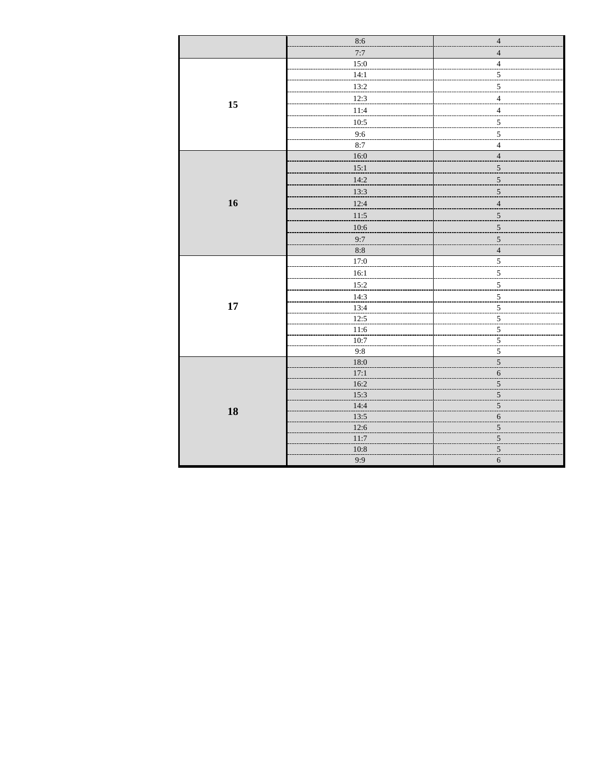|    | 8:6   | $\overline{4}$           |
|----|-------|--------------------------|
|    | 7:7   | $\overline{4}$           |
|    | 15:0  | $\overline{4}$           |
|    | 14:1  | $\overline{5}$           |
|    | 13:2  | $\overline{\mathbf{5}}$  |
|    | 12:3  | $\overline{4}$           |
| 15 | 11:4  | $\overline{4}$           |
|    | 10:5  | $\overline{5}$           |
|    | 9:6   | 5                        |
|    | 8:7   | $\overline{4}$           |
|    | 16:0  | $\overline{4}$           |
|    | 15:1  | 5                        |
|    | 14:2  | $\sqrt{5}$               |
|    | 13:3  | г.,<br>5                 |
| 16 | 12:4  | $\overline{\mathcal{L}}$ |
|    | 11:5  | $\sqrt{5}$               |
|    | 10:6  | $\overline{5}$           |
|    | 9:7   | $\overline{5}$           |
|    | $8:8$ | $\overline{4}$           |
|    | 17:0  | $5\,$                    |
|    | 16:1  | л.<br>$\overline{5}$     |
|    | 15:2  | $\overline{5}$           |
|    | 14:3  | $\overline{5}$           |
| 17 | 13:4  | $\overline{5}$           |
|    | 12:5  | $\overline{5}$           |
|    | 11:6  | $\overline{5}$           |
|    | 10:7  | $\overline{5}$           |
|    | 9:8   | $\sqrt{5}$               |
|    | 18:0  | $\sqrt{5}$               |
|    | 17:1  | $\sqrt{6}$               |
|    | 16:2  | $\overline{5}$           |
|    | 15:3  | $\overline{\mathbf{5}}$  |
| 18 | 14:4  | $\overline{5}$           |
|    | 13:5  | $\sqrt{6}$               |
|    | 12:6  | $\overline{5}$           |
|    | 11:7  | $\overline{\mathbf{5}}$  |
|    | 10:8  | $\sqrt{5}$               |
|    | 9:9   | $\sqrt{6}$               |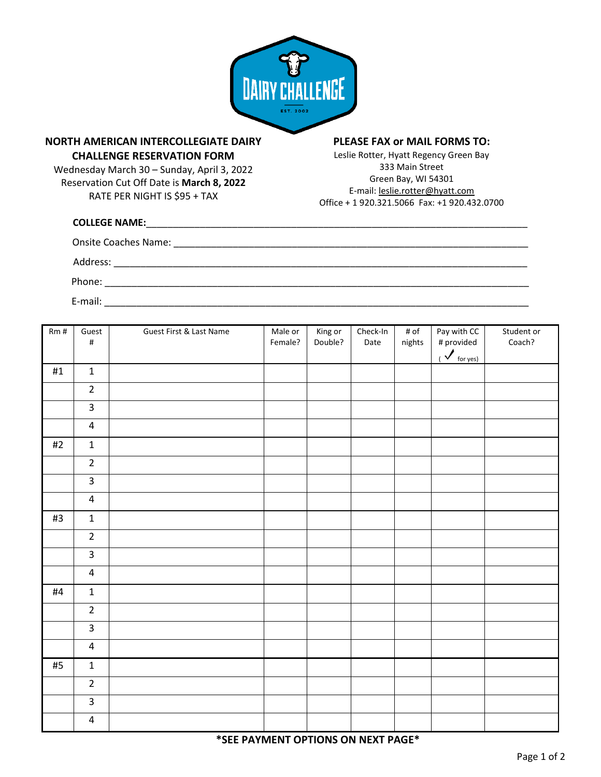

## **NORTH AMERICAN INTERCOLLEGIATE DAIRY CHALLENGE RESERVATION FORM**

Wednesday March 30 – Sunday, April 3, 2022 Reservation Cut Off Date is **March 8, 2022** RATE PER NIGHT IS \$95 + TAX

## **PLEASE FAX or MAIL FORMS TO:**

Leslie Rotter, Hyatt Regency Green Bay 333 Main Street Green Bay, WI 54301 E-mail: [leslie.rotter@hyatt.com](mailto:leslie.rotter@hyatt.com) Office + 1 920.321.5066 Fax: +1 920.432.0700

| <b>COLLEGE NAME:</b> |
|----------------------|
|                      |
| Address:             |
| Phone:               |
| E-mail:              |

| Rm#   | Guest<br>$\#$           | Guest First & Last Name | $\overline{\mathsf{M}}$ ale or<br>Female? | King or<br>Double? | Check-In<br>Date | # of<br>nights | Pay with CC<br># provided<br>$\frac{1}{\sqrt{\frac{1}{100}}}$ | Student or<br>Coach? |
|-------|-------------------------|-------------------------|-------------------------------------------|--------------------|------------------|----------------|---------------------------------------------------------------|----------------------|
| $\#1$ | $\mathbf 1$             |                         |                                           |                    |                  |                |                                                               |                      |
|       | $\overline{2}$          |                         |                                           |                    |                  |                |                                                               |                      |
|       | $\overline{3}$          |                         |                                           |                    |                  |                |                                                               |                      |
|       | $\overline{\mathbf{4}}$ |                         |                                           |                    |                  |                |                                                               |                      |
| $\#2$ | $\mathbf 1$             |                         |                                           |                    |                  |                |                                                               |                      |
|       | $\overline{2}$          |                         |                                           |                    |                  |                |                                                               |                      |
|       | $\overline{3}$          |                         |                                           |                    |                  |                |                                                               |                      |
|       | $\overline{4}$          |                         |                                           |                    |                  |                |                                                               |                      |
| #3    | $\mathbf 1$             |                         |                                           |                    |                  |                |                                                               |                      |
|       | $\overline{2}$          |                         |                                           |                    |                  |                |                                                               |                      |
|       | $\overline{3}$          |                         |                                           |                    |                  |                |                                                               |                      |
|       | $\overline{\mathbf{4}}$ |                         |                                           |                    |                  |                |                                                               |                      |
| $\#4$ | $\mathbf 1$             |                         |                                           |                    |                  |                |                                                               |                      |
|       | $\overline{2}$          |                         |                                           |                    |                  |                |                                                               |                      |
|       | $\overline{3}$          |                         |                                           |                    |                  |                |                                                               |                      |
|       | $\overline{\mathbf{4}}$ |                         |                                           |                    |                  |                |                                                               |                      |
| #5    | $\mathbf 1$             |                         |                                           |                    |                  |                |                                                               |                      |
|       | $\overline{2}$          |                         |                                           |                    |                  |                |                                                               |                      |
|       | $\overline{3}$          |                         |                                           |                    |                  |                |                                                               |                      |
|       | $\overline{\mathbf{4}}$ |                         |                                           |                    |                  |                |                                                               |                      |

**\*SEE PAYMENT OPTIONS ON NEXT PAGE\***